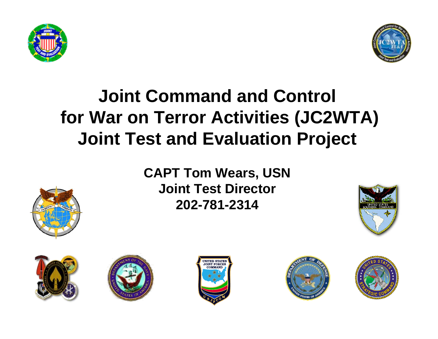



#### **Joint Command and Control for War on Terror Activities (JC2WTA) Joint Test and Evaluation Project**

**CAPT Tom Wears, USN Joint Test Director 202-781-2314**











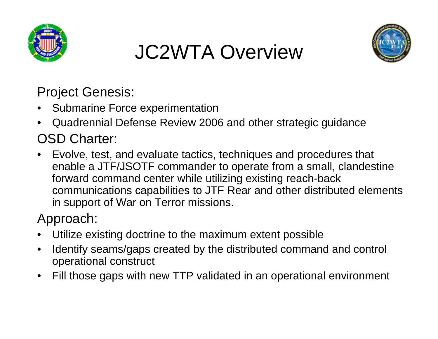

# JC2WTA Overview



Project Genesis:

- •Submarine Force experimentation
- • Quadrennial Defense Review 2006 and other strategic guidance OSD Charter:
- Evolve, test, and evaluate tactics, techniques and procedures that enable a JTF/JSOTF commander to operate from a small, clandestine forward command center while utilizing existing reach-back communications capabilities to JTF Rear and other distributed elements in support of War on Terror missions.

Approach:

- •Utilize existing doctrine to the maximum extent possible
- • Identify seams/gaps created by the distributed command and control operational construct
- •Fill those gaps with new TTP validated in an operational environment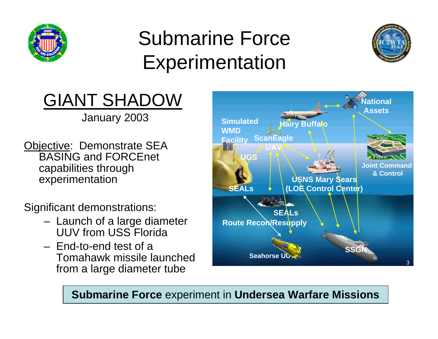

## Submarine Force Experimentation



## GIANT SHADOW

January 2003

Objective: Demonstrate SEA BASING and FORCEnet capabilities through experimentation

Significant demonstrations:

- – Launch of a large diameter UUV from USS Florida
- End-to-end test of a Tomahawk missile launched from a large diameter tube



**Submarine Force** experiment in **Undersea Warfare Missions**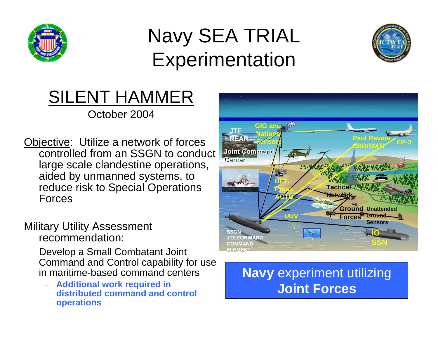

## Navy SEA TRIAL Experimentation



#### SILENT HAMMER October 2004

Objective: Utilize a network of forces controlled from an SSGN to conduct large scale clandestine operations, aided by unmanned systems, to reduce risk to Special Operations Forces

#### Military Utility Assessment recommendation:

Develop a Small Combatant Joint Command and Control capability for use in maritime-based command centers

– **Additional work required in distributed command and control operations**



#### **Navy** experiment utilizing **Joint Forces**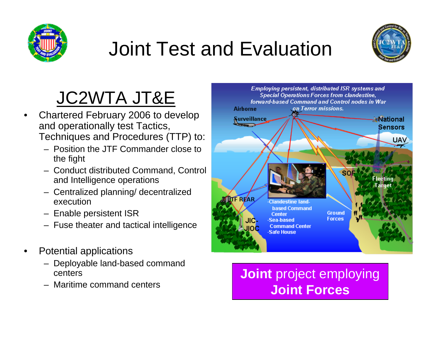

# Joint Test and Evaluation



## JC2WTA JT&E

- • Chartered February 2006 to develop and operationally test Tactics, Techniques and Procedures (TTP) to:
	- Position the JTF Commander close to the fight
	- Conduct distributed Command, Control and Intelligence operations
	- Centralized planning/ decentralized execution
	- Enable persistent ISR
	- Fuse theater and tactical intelligence
- • Potential applications
	- Deployable land-based command centers
	- Maritime command centers



**Joint** project employing **Joint Forces**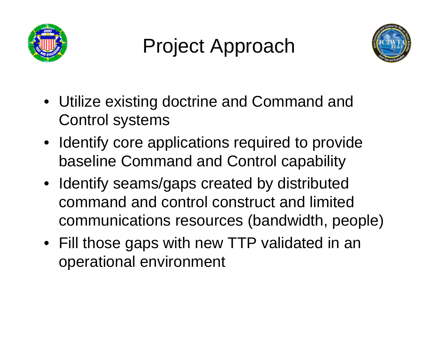

Project Approach



- Utilize existing doctrine and Command and Control systems
- Identify core applications required to provide baseline Command and Control capability
- Identify seams/gaps created by distributed command and control construct and limited communications resources (bandwidth, people)
- Fill those gaps with new TTP validated in an operational environment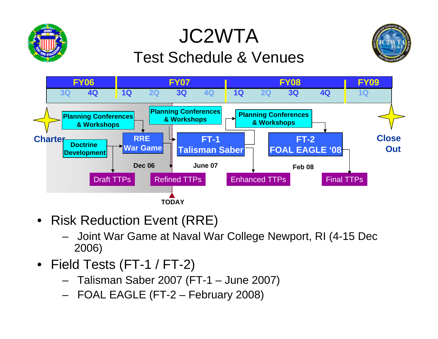#### JC2WTATest Schedule & Venues





- Risk Reduction Event (RRE)
	- – Joint War Game at Naval War College Newport, RI (4-15 Dec 2006)
- Field Tests (FT-1 / FT-2)
	- –Talisman Saber 2007 (FT-1 – June 2007)
	- –FOAL EAGLE (FT-2 – February 2008)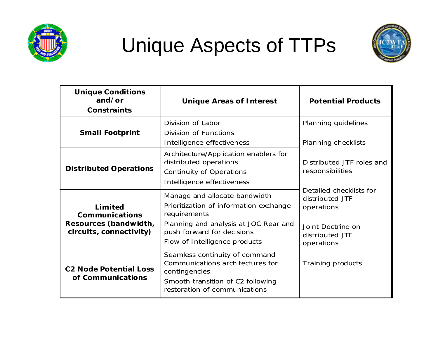

## Unique Aspects of TTPs



| <b>Unique Conditions</b><br>and/or<br>Constraints                                    | <b>Unique Areas of Interest</b>                                                                                                                                                                 | <b>Potential Products</b>                                                                                      |
|--------------------------------------------------------------------------------------|-------------------------------------------------------------------------------------------------------------------------------------------------------------------------------------------------|----------------------------------------------------------------------------------------------------------------|
| <b>Small Footprint</b>                                                               | Division of Labor<br>Division of Functions<br>Intelligence effectiveness                                                                                                                        | Planning guidelines<br>Planning checklists                                                                     |
| <b>Distributed Operations</b>                                                        | Architecture/Application enablers for<br>distributed operations<br><b>Continuity of Operations</b><br>Intelligence effectiveness                                                                | Distributed JTF roles and<br>responsibilities                                                                  |
| Limited<br><b>Communications</b><br>Resources (bandwidth,<br>circuits, connectivity) | Manage and allocate bandwidth<br>Prioritization of information exchange<br>requirements<br>Planning and analysis at JOC Rear and<br>push forward for decisions<br>Flow of Intelligence products | Detailed checklists for<br>distributed JTF<br>operations<br>Joint Doctrine on<br>distributed JTF<br>operations |
| <b>C2 Node Potential Loss</b><br>of Communications                                   | Seamless continuity of command<br>Communications architectures for<br>contingencies<br>Smooth transition of C2 following<br>restoration of communications                                       | Training products                                                                                              |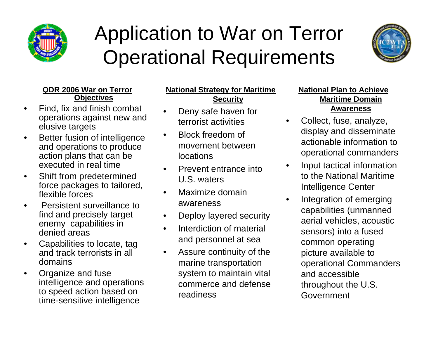

### Application to War on Terror Operational Requirements



#### **QDR 2006 War on Terror Objectives**

- • Find, fix and finish combat operations against new and elusive targets
- • Better fusion of intelligence and operations to produce action plans that can be executed in real time
- • Shift from predetermined force packages to tailored, flexible forces
- • Persistent surveillance to find and precisely target enemy capabilities in denied areas
- • Capabilities to locate, tag and track terrorists in all domains
- • Organize and fuse intelligence and operations to speed action based on time-sensitive intelligence

#### **National Strategy for Maritime Security**

- • Deny safe haven for terrorist activities
- • Block freedom of movement between locations
- • Prevent entrance into U.S. waters
- • Maximize domain awareness
- •Deploy layered security
- • Interdiction of material and personnel at sea
- • Assure continuity of the marine transportation system to maintain vital commerce and defense readiness

#### **National Plan to Achieve Maritime Domain Awareness**

 Collect, fuse, analyze, display and disseminate actionable information to operational commanders

•

•

- • Input tactical information to the National Maritime Intelligence Center
- Integration of emerging capabilities (unmanned aerial vehicles, acoustic sensors) into a fused common operating picture available to operational Commanders and accessible throughout the U.S. Government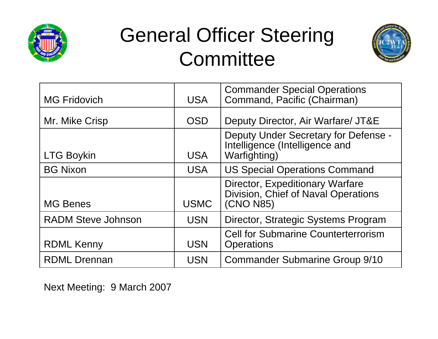

#### General Officer Steering **Committee**



| <b>MG Fridovich</b>       | <b>USA</b>  | <b>Commander Special Operations</b><br>Command, Pacific (Chairman)                             |
|---------------------------|-------------|------------------------------------------------------------------------------------------------|
| Mr. Mike Crisp            | <b>OSD</b>  | Deputy Director, Air Warfare/ JT&E                                                             |
| <b>LTG Boykin</b>         | <b>USA</b>  | Deputy Under Secretary for Defense -<br>Intelligence (Intelligence and<br><b>Warfighting</b> ) |
| <b>BG Nixon</b>           | <b>USA</b>  | <b>US Special Operations Command</b>                                                           |
| <b>MG Benes</b>           | <b>USMC</b> | Director, Expeditionary Warfare<br>Division, Chief of Naval Operations<br>(CNO N85)            |
| <b>RADM Steve Johnson</b> | <b>USN</b>  | Director, Strategic Systems Program                                                            |
| <b>RDML Kenny</b>         | <b>USN</b>  | <b>Cell for Submarine Counterterrorism</b><br><b>Operations</b>                                |
| <b>RDML Drennan</b>       | <b>USN</b>  | <b>Commander Submarine Group 9/10</b>                                                          |

Next Meeting: 9 March 2007